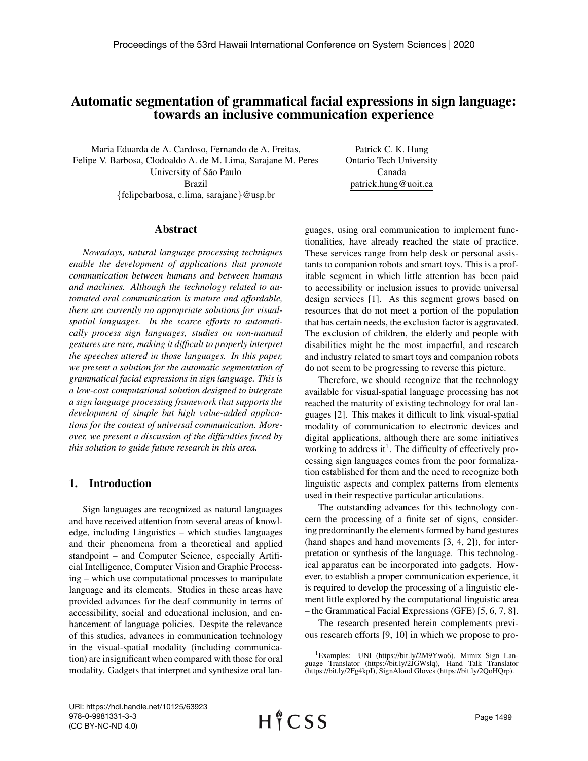# Automatic segmentation of grammatical facial expressions in sign language: towards an inclusive communication experience

Maria Eduarda de A. Cardoso, Fernando de A. Freitas, Felipe V. Barbosa, Clodoaldo A. de M. Lima, Sarajane M. Peres University of São Paulo Brazil {felipebarbosa, c.lima, sarajane}@usp.br

Patrick C. K. Hung Ontario Tech University Canada patrick.hung@uoit.ca

## Abstract

*Nowadays, natural language processing techniques enable the development of applications that promote communication between humans and between humans and machines. Although the technology related to automated oral communication is mature and affordable, there are currently no appropriate solutions for visualspatial languages. In the scarce efforts to automatically process sign languages, studies on non-manual gestures are rare, making it difficult to properly interpret the speeches uttered in those languages. In this paper, we present a solution for the automatic segmentation of grammatical facial expressions in sign language. This is a low-cost computational solution designed to integrate a sign language processing framework that supports the development of simple but high value-added applications for the context of universal communication. Moreover, we present a discussion of the difficulties faced by this solution to guide future research in this area.*

## 1. Introduction

Sign languages are recognized as natural languages and have received attention from several areas of knowledge, including Linguistics – which studies languages and their phenomena from a theoretical and applied standpoint – and Computer Science, especially Artificial Intelligence, Computer Vision and Graphic Processing – which use computational processes to manipulate language and its elements. Studies in these areas have provided advances for the deaf community in terms of accessibility, social and educational inclusion, and enhancement of language policies. Despite the relevance of this studies, advances in communication technology in the visual-spatial modality (including communication) are insignificant when compared with those for oral modality. Gadgets that interpret and synthesize oral languages, using oral communication to implement functionalities, have already reached the state of practice. These services range from help desk or personal assistants to companion robots and smart toys. This is a profitable segment in which little attention has been paid to accessibility or inclusion issues to provide universal design services [1]. As this segment grows based on resources that do not meet a portion of the population that has certain needs, the exclusion factor is aggravated. The exclusion of children, the elderly and people with disabilities might be the most impactful, and research and industry related to smart toys and companion robots do not seem to be progressing to reverse this picture.

Therefore, we should recognize that the technology available for visual-spatial language processing has not reached the maturity of existing technology for oral languages [2]. This makes it difficult to link visual-spatial modality of communication to electronic devices and digital applications, although there are some initiatives working to address it<sup>1</sup>. The difficulty of effectively processing sign languages comes from the poor formalization established for them and the need to recognize both linguistic aspects and complex patterns from elements used in their respective particular articulations.

The outstanding advances for this technology concern the processing of a finite set of signs, considering predominantly the elements formed by hand gestures (hand shapes and hand movements [3, 4, 2]), for interpretation or synthesis of the language. This technological apparatus can be incorporated into gadgets. However, to establish a proper communication experience, it is required to develop the processing of a linguistic element little explored by the computational linguistic area – the Grammatical Facial Expressions (GFE) [5, 6, 7, 8].

The research presented herein complements previous research efforts [9, 10] in which we propose to pro-

<sup>&</sup>lt;sup>1</sup>Examples: UNI (https://bit.ly/2M9Ywo6), Mimix Sign Language Translator (https://bit.ly/2JGWslq), Hand Talk Translator (https://bit.ly/2Fg4kpI), SignAloud Gloves (https://bit.ly/2QoHQrp).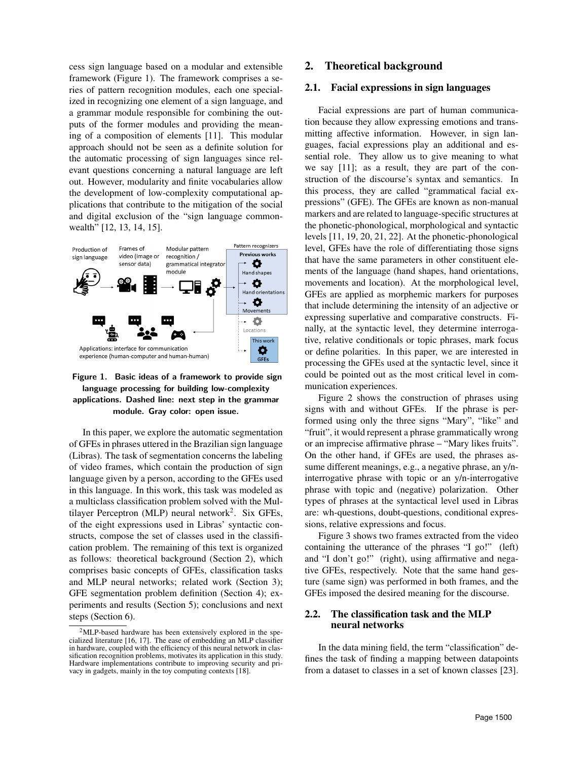cess sign language based on a modular and extensible framework (Figure 1). The framework comprises a series of pattern recognition modules, each one specialized in recognizing one element of a sign language, and a grammar module responsible for combining the outputs of the former modules and providing the meaning of a composition of elements [11]. This modular approach should not be seen as a definite solution for the automatic processing of sign languages since relevant questions concerning a natural language are left out. However, modularity and finite vocabularies allow the development of low-complexity computational applications that contribute to the mitigation of the social and digital exclusion of the "sign language commonwealth" [12, 13, 14, 15].



Figure 1. Basic ideas of a framework to provide sign language processing for building low-complexity applications. Dashed line: next step in the grammar module. Gray color: open issue.

In this paper, we explore the automatic segmentation of GFEs in phrases uttered in the Brazilian sign language (Libras). The task of segmentation concerns the labeling of video frames, which contain the production of sign language given by a person, according to the GFEs used in this language. In this work, this task was modeled as a multiclass classification problem solved with the Multilayer Perceptron (MLP) neural network<sup>2</sup>. Six GFEs, of the eight expressions used in Libras' syntactic constructs, compose the set of classes used in the classification problem. The remaining of this text is organized as follows: theoretical background (Section 2), which comprises basic concepts of GFEs, classification tasks and MLP neural networks; related work (Section 3); GFE segmentation problem definition (Section 4); experiments and results (Section 5); conclusions and next steps (Section 6).

#### 2. Theoretical background

#### 2.1. Facial expressions in sign languages

Facial expressions are part of human communication because they allow expressing emotions and transmitting affective information. However, in sign languages, facial expressions play an additional and essential role. They allow us to give meaning to what we say [11]; as a result, they are part of the construction of the discourse's syntax and semantics. In this process, they are called "grammatical facial expressions" (GFE). The GFEs are known as non-manual markers and are related to language-specific structures at the phonetic-phonological, morphological and syntactic levels [11, 19, 20, 21, 22]. At the phonetic-phonological level, GFEs have the role of differentiating those signs that have the same parameters in other constituent elements of the language (hand shapes, hand orientations, movements and location). At the morphological level, GFEs are applied as morphemic markers for purposes that include determining the intensity of an adjective or expressing superlative and comparative constructs. Finally, at the syntactic level, they determine interrogative, relative conditionals or topic phrases, mark focus or define polarities. In this paper, we are interested in processing the GFEs used at the syntactic level, since it could be pointed out as the most critical level in communication experiences.

Figure 2 shows the construction of phrases using signs with and without GFEs. If the phrase is performed using only the three signs "Mary", "like" and "fruit", it would represent a phrase grammatically wrong or an imprecise affirmative phrase – "Mary likes fruits". On the other hand, if GFEs are used, the phrases assume different meanings, e.g., a negative phrase, an y/ninterrogative phrase with topic or an y/n-interrogative phrase with topic and (negative) polarization. Other types of phrases at the syntactical level used in Libras are: wh-questions, doubt-questions, conditional expressions, relative expressions and focus.

Figure 3 shows two frames extracted from the video containing the utterance of the phrases "I go!" (left) and "I don't go!" (right), using affirmative and negative GFEs, respectively. Note that the same hand gesture (same sign) was performed in both frames, and the GFEs imposed the desired meaning for the discourse.

### 2.2. The classification task and the MLP neural networks

In the data mining field, the term "classification" defines the task of finding a mapping between datapoints from a dataset to classes in a set of known classes [23].

<sup>&</sup>lt;sup>2</sup>MLP-based hardware has been extensively explored in the specialized literature [16, 17]. The ease of embedding an MLP classifier in hardware, coupled with the efficiency of this neural network in classification recognition problems, motivates its application in this study. Hardware implementations contribute to improving security and privacy in gadgets, mainly in the toy computing contexts [18].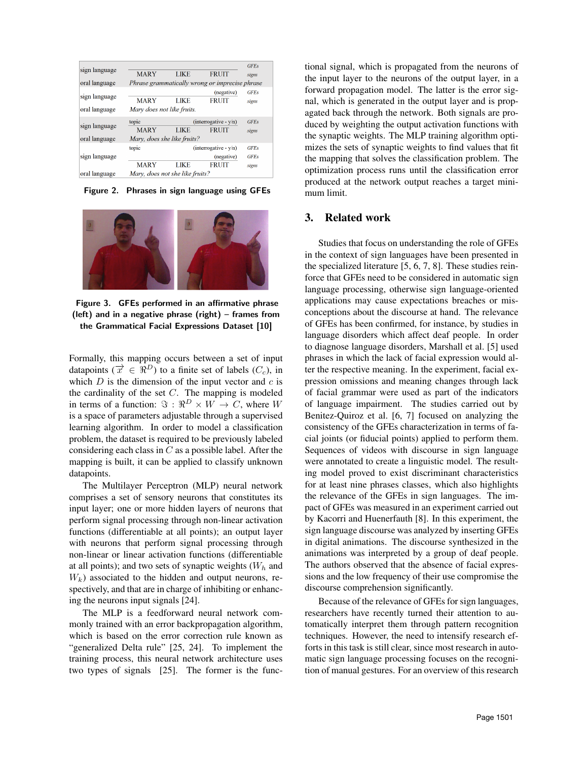| sign language<br>oral language | <b>MARY</b>                                         | <b>LIKE</b> | <b>FRUIT</b><br>Phrase grammatically wrong or imprecise phrase | <b>GFEs</b><br>signs                |
|--------------------------------|-----------------------------------------------------|-------------|----------------------------------------------------------------|-------------------------------------|
| sign language<br>oral language | <b>MARY</b><br>Mary does not like fruits.           | LIKE        | (negative)<br><b>FRUIT</b>                                     | <b>GFEs</b><br>signs                |
| sign language<br>oral language | topic<br><b>MARY</b><br>Mary, does she like fruits? | LIKE        | $interrogative - y/n$<br><b>FRUIT</b>                          | <b>GFEs</b><br>signs                |
| sign language                  | topic<br><b>MARY</b>                                | LIKE        | (interrogative - y/n)<br>(negative)<br><b>FRUIT</b>            | <b>GFEs</b><br><b>GFEs</b><br>signs |
| oral language                  | Mary, does not she like fruits?                     |             |                                                                |                                     |

Figure 2. Phrases in sign language using GFEs



Figure 3. GFEs performed in an affirmative phrase (left) and in a negative phrase (right) – frames from the Grammatical Facial Expressions Dataset [10]

Formally, this mapping occurs between a set of input datapoints ( $\vec{x} \in \Re^{D}$ ) to a finite set of labels ( $C_c$ ), in which  $D$  is the dimension of the input vector and  $c$  is the cardinality of the set  $C$ . The mapping is modeled in terms of a function:  $\Im : \Re^D \times W \to C$ , where W is a space of parameters adjustable through a supervised learning algorithm. In order to model a classification problem, the dataset is required to be previously labeled considering each class in  $C$  as a possible label. After the mapping is built, it can be applied to classify unknown datapoints.

The Multilayer Perceptron (MLP) neural network comprises a set of sensory neurons that constitutes its input layer; one or more hidden layers of neurons that perform signal processing through non-linear activation functions (differentiable at all points); an output layer with neurons that perform signal processing through non-linear or linear activation functions (differentiable at all points); and two sets of synaptic weights  $(W<sub>h</sub>$  and  $W_k$ ) associated to the hidden and output neurons, respectively, and that are in charge of inhibiting or enhancing the neurons input signals [24].

The MLP is a feedforward neural network commonly trained with an error backpropagation algorithm, which is based on the error correction rule known as "generalized Delta rule" [25, 24]. To implement the training process, this neural network architecture uses two types of signals [25]. The former is the functional signal, which is propagated from the neurons of the input layer to the neurons of the output layer, in a forward propagation model. The latter is the error signal, which is generated in the output layer and is propagated back through the network. Both signals are produced by weighting the output activation functions with the synaptic weights. The MLP training algorithm optimizes the sets of synaptic weights to find values that fit the mapping that solves the classification problem. The optimization process runs until the classification error produced at the network output reaches a target minimum limit.

## 3. Related work

Studies that focus on understanding the role of GFEs in the context of sign languages have been presented in the specialized literature [5, 6, 7, 8]. These studies reinforce that GFEs need to be considered in automatic sign language processing, otherwise sign language-oriented applications may cause expectations breaches or misconceptions about the discourse at hand. The relevance of GFEs has been confirmed, for instance, by studies in language disorders which affect deaf people. In order to diagnose language disorders, Marshall et al. [5] used phrases in which the lack of facial expression would alter the respective meaning. In the experiment, facial expression omissions and meaning changes through lack of facial grammar were used as part of the indicators of language impairment. The studies carried out by Benitez-Quiroz et al. [6, 7] focused on analyzing the consistency of the GFEs characterization in terms of facial joints (or fiducial points) applied to perform them. Sequences of videos with discourse in sign language were annotated to create a linguistic model. The resulting model proved to exist discriminant characteristics for at least nine phrases classes, which also highlights the relevance of the GFEs in sign languages. The impact of GFEs was measured in an experiment carried out by Kacorri and Huenerfauth [8]. In this experiment, the sign language discourse was analyzed by inserting GFEs in digital animations. The discourse synthesized in the animations was interpreted by a group of deaf people. The authors observed that the absence of facial expressions and the low frequency of their use compromise the discourse comprehension significantly.

Because of the relevance of GFEs for sign languages, researchers have recently turned their attention to automatically interpret them through pattern recognition techniques. However, the need to intensify research efforts in this task is still clear, since most research in automatic sign language processing focuses on the recognition of manual gestures. For an overview of this research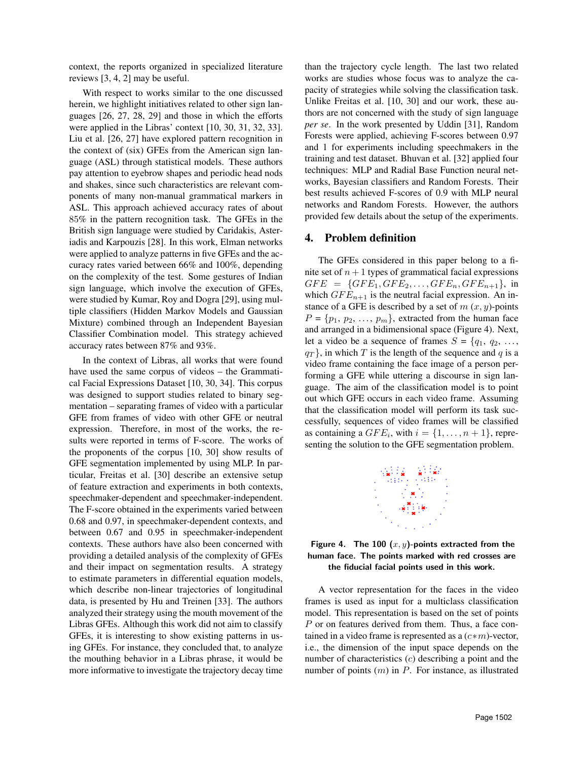context, the reports organized in specialized literature reviews [3, 4, 2] may be useful.

With respect to works similar to the one discussed herein, we highlight initiatives related to other sign languages [26, 27, 28, 29] and those in which the efforts were applied in the Libras' context [10, 30, 31, 32, 33]. Liu et al. [26, 27] have explored pattern recognition in the context of (six) GFEs from the American sign language (ASL) through statistical models. These authors pay attention to eyebrow shapes and periodic head nods and shakes, since such characteristics are relevant components of many non-manual grammatical markers in ASL. This approach achieved accuracy rates of about 85% in the pattern recognition task. The GFEs in the British sign language were studied by Caridakis, Asteriadis and Karpouzis [28]. In this work, Elman networks were applied to analyze patterns in five GFEs and the accuracy rates varied between 66% and 100%, depending on the complexity of the test. Some gestures of Indian sign language, which involve the execution of GFEs, were studied by Kumar, Roy and Dogra [29], using multiple classifiers (Hidden Markov Models and Gaussian Mixture) combined through an Independent Bayesian Classifier Combination model. This strategy achieved accuracy rates between 87% and 93%.

In the context of Libras, all works that were found have used the same corpus of videos – the Grammatical Facial Expressions Dataset [10, 30, 34]. This corpus was designed to support studies related to binary segmentation – separating frames of video with a particular GFE from frames of video with other GFE or neutral expression. Therefore, in most of the works, the results were reported in terms of F-score. The works of the proponents of the corpus [10, 30] show results of GFE segmentation implemented by using MLP. In particular, Freitas et al. [30] describe an extensive setup of feature extraction and experiments in both contexts, speechmaker-dependent and speechmaker-independent. The F-score obtained in the experiments varied between 0.68 and 0.97, in speechmaker-dependent contexts, and between 0.67 and 0.95 in speechmaker-independent contexts. These authors have also been concerned with providing a detailed analysis of the complexity of GFEs and their impact on segmentation results. A strategy to estimate parameters in differential equation models, which describe non-linear trajectories of longitudinal data, is presented by Hu and Treinen [33]. The authors analyzed their strategy using the mouth movement of the Libras GFEs. Although this work did not aim to classify GFEs, it is interesting to show existing patterns in using GFEs. For instance, they concluded that, to analyze the mouthing behavior in a Libras phrase, it would be more informative to investigate the trajectory decay time

than the trajectory cycle length. The last two related works are studies whose focus was to analyze the capacity of strategies while solving the classification task. Unlike Freitas et al. [10, 30] and our work, these authors are not concerned with the study of sign language *per se*. In the work presented by Uddin [31], Random Forests were applied, achieving F-scores between 0.97 and 1 for experiments including speechmakers in the training and test dataset. Bhuvan et al. [32] applied four techniques: MLP and Radial Base Function neural networks, Bayesian classifiers and Random Forests. Their best results achieved F-scores of 0.9 with MLP neural networks and Random Forests. However, the authors provided few details about the setup of the experiments.

#### 4. Problem definition

The GFEs considered in this paper belong to a finite set of  $n + 1$  types of grammatical facial expressions  $GFE = \{GFE_1, GFE_2, \ldots, GFE_n, GFE_{n+1}\},\}$  in which  $GFE_{n+1}$  is the neutral facial expression. An instance of a GFE is described by a set of  $m(x, y)$ -points  $P = \{p_1, p_2, \ldots, p_m\}$ , extracted from the human face and arranged in a bidimensional space (Figure 4). Next, let a video be a sequence of frames  $S = \{q_1, q_2, \ldots,$  $q_T$ , in which T is the length of the sequence and q is a video frame containing the face image of a person performing a GFE while uttering a discourse in sign language. The aim of the classification model is to point out which GFE occurs in each video frame. Assuming that the classification model will perform its task successfully, sequences of video frames will be classified as containing a  $GFE_i$ , with  $i = \{1, \ldots, n+1\}$ , representing the solution to the GFE segmentation problem.



Figure 4. The 100  $(x, y)$ -points extracted from the human face. The points marked with red crosses are the fiducial facial points used in this work.

A vector representation for the faces in the video frames is used as input for a multiclass classification model. This representation is based on the set of points P or on features derived from them. Thus, a face contained in a video frame is represented as a  $(c*m)$ -vector, i.e., the dimension of the input space depends on the number of characteristics (c) describing a point and the number of points  $(m)$  in  $P$ . For instance, as illustrated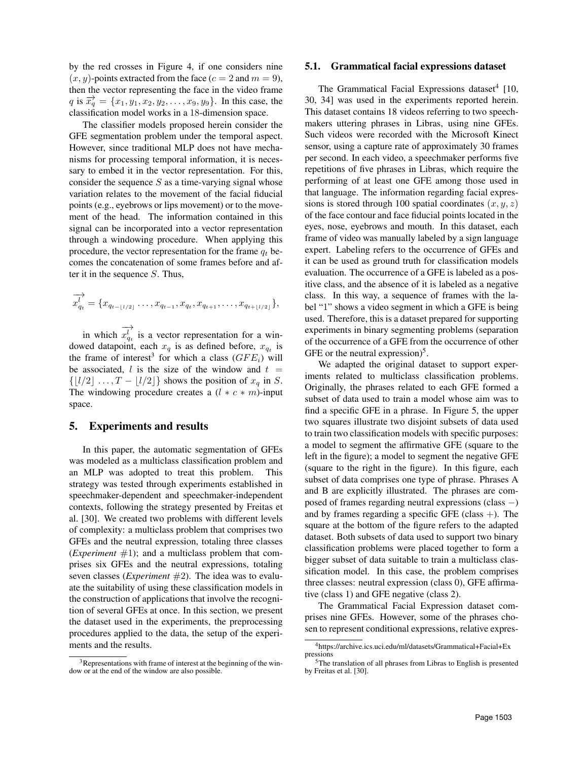by the red crosses in Figure 4, if one considers nine  $(x, y)$ -points extracted from the face  $(c = 2$  and  $m = 9)$ , then the vector representing the face in the video frame q is  $\vec{x_q} = \{x_1, y_1, x_2, y_2, \ldots, x_9, y_9\}$ . In this case, the classification model works in a 18-dimension space.

The classifier models proposed herein consider the GFE segmentation problem under the temporal aspect. However, since traditional MLP does not have mechanisms for processing temporal information, it is necessary to embed it in the vector representation. For this, consider the sequence  $S$  as a time-varying signal whose variation relates to the movement of the facial fiducial points (e.g., eyebrows or lips movement) or to the movement of the head. The information contained in this signal can be incorporated into a vector representation through a windowing procedure. When applying this procedure, the vector representation for the frame  $q_t$  becomes the concatenation of some frames before and after it in the sequence  $S$ . Thus,

$$
\overrightarrow{x_{q_{t}}} = \{x_{q_{t-1/2}1} \ldots, x_{q_{t-1}}, x_{q_{t}}, x_{q_{t+1}}, \ldots, x_{q_{t+1/2}1}\},\
$$

in which −→  $x_{q_t}^{l'}$  is a vector representation for a windowed datapoint, each  $x_q$  is as defined before,  $x_{q_t}$  is the frame of interest<sup>3</sup> for which a class  $(GFE_i)$  will be associated, l is the size of the window and  $t =$  $\{[l/2] \ldots, T - [l/2]\}$  shows the position of  $x_q$  in S. The windowing procedure creates a  $(l * c * m)$ -input space.

#### 5. Experiments and results

In this paper, the automatic segmentation of GFEs was modeled as a multiclass classification problem and an MLP was adopted to treat this problem. This strategy was tested through experiments established in speechmaker-dependent and speechmaker-independent contexts, following the strategy presented by Freitas et al. [30]. We created two problems with different levels of complexity: a multiclass problem that comprises two GFEs and the neutral expression, totaling three classes (*Experiment*  $#1$ ); and a multiclass problem that comprises six GFEs and the neutral expressions, totaling seven classes (*Experiment* #2). The idea was to evaluate the suitability of using these classification models in the construction of applications that involve the recognition of several GFEs at once. In this section, we present the dataset used in the experiments, the preprocessing procedures applied to the data, the setup of the experiments and the results.

#### 5.1. Grammatical facial expressions dataset

The Grammatical Facial Expressions dataset<sup>4</sup> [10, 30, 34] was used in the experiments reported herein. This dataset contains 18 videos referring to two speechmakers uttering phrases in Libras, using nine GFEs. Such videos were recorded with the Microsoft Kinect sensor, using a capture rate of approximately 30 frames per second. In each video, a speechmaker performs five repetitions of five phrases in Libras, which require the performing of at least one GFE among those used in that language. The information regarding facial expressions is stored through 100 spatial coordinates  $(x, y, z)$ of the face contour and face fiducial points located in the eyes, nose, eyebrows and mouth. In this dataset, each frame of video was manually labeled by a sign language expert. Labeling refers to the occurrence of GFEs and it can be used as ground truth for classification models evaluation. The occurrence of a GFE is labeled as a positive class, and the absence of it is labeled as a negative class. In this way, a sequence of frames with the label "1" shows a video segment in which a GFE is being used. Therefore, this is a dataset prepared for supporting experiments in binary segmenting problems (separation of the occurrence of a GFE from the occurrence of other GFE or the neutral expression) $5$ .

We adapted the original dataset to support experiments related to multiclass classification problems. Originally, the phrases related to each GFE formed a subset of data used to train a model whose aim was to find a specific GFE in a phrase. In Figure 5, the upper two squares illustrate two disjoint subsets of data used to train two classification models with specific purposes: a model to segment the affirmative GFE (square to the left in the figure); a model to segment the negative GFE (square to the right in the figure). In this figure, each subset of data comprises one type of phrase. Phrases A and B are explicitly illustrated. The phrases are composed of frames regarding neutral expressions (class −) and by frames regarding a specific GFE (class  $+$ ). The square at the bottom of the figure refers to the adapted dataset. Both subsets of data used to support two binary classification problems were placed together to form a bigger subset of data suitable to train a multiclass classification model. In this case, the problem comprises three classes: neutral expression (class 0), GFE affirmative (class 1) and GFE negative (class 2).

The Grammatical Facial Expression dataset comprises nine GFEs. However, some of the phrases chosen to represent conditional expressions, relative expres-

<sup>&</sup>lt;sup>3</sup>Representations with frame of interest at the beginning of the window or at the end of the window are also possible.

<sup>4</sup>https://archive.ics.uci.edu/ml/datasets/Grammatical+Facial+Ex pressions

<sup>5</sup>The translation of all phrases from Libras to English is presented by Freitas et al. [30].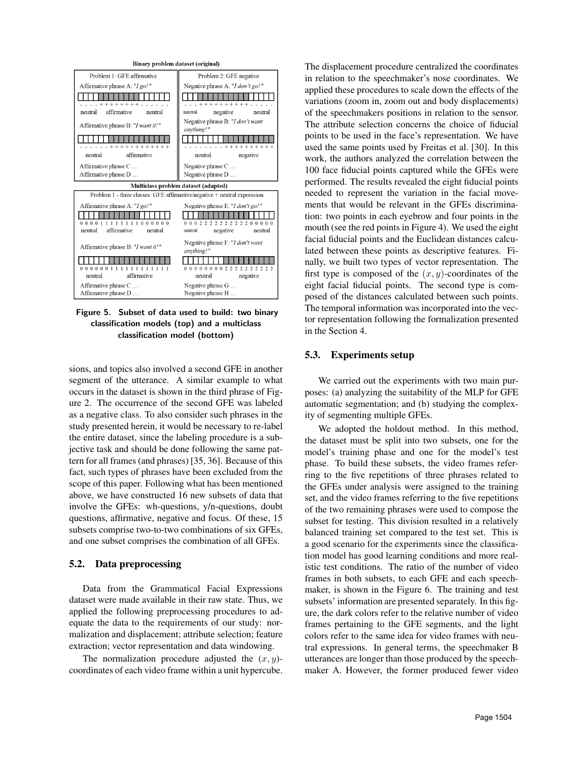

Figure 5. Subset of data used to build: two binary classification models (top) and a multiclass classification model (bottom)

sions, and topics also involved a second GFE in another segment of the utterance. A similar example to what occurs in the dataset is shown in the third phrase of Figure 2. The occurrence of the second GFE was labeled as a negative class. To also consider such phrases in the study presented herein, it would be necessary to re-label the entire dataset, since the labeling procedure is a subjective task and should be done following the same pattern for all frames (and phrases) [35, 36]. Because of this fact, such types of phrases have been excluded from the scope of this paper. Following what has been mentioned above, we have constructed 16 new subsets of data that involve the GFEs: wh-questions, y/n-questions, doubt questions, affirmative, negative and focus. Of these, 15 subsets comprise two-to-two combinations of six GFEs, and one subset comprises the combination of all GFEs.

#### 5.2. Data preprocessing

Data from the Grammatical Facial Expressions dataset were made available in their raw state. Thus, we applied the following preprocessing procedures to adequate the data to the requirements of our study: normalization and displacement; attribute selection; feature extraction; vector representation and data windowing.

The normalization procedure adjusted the  $(x, y)$ coordinates of each video frame within a unit hypercube. The displacement procedure centralized the coordinates in relation to the speechmaker's nose coordinates. We applied these procedures to scale down the effects of the variations (zoom in, zoom out and body displacements) of the speechmakers positions in relation to the sensor. The attribute selection concerns the choice of fiducial points to be used in the face's representation. We have used the same points used by Freitas et al. [30]. In this work, the authors analyzed the correlation between the 100 face fiducial points captured while the GFEs were performed. The results revealed the eight fiducial points needed to represent the variation in the facial movements that would be relevant in the GFEs discrimination: two points in each eyebrow and four points in the mouth (see the red points in Figure 4). We used the eight facial fiducial points and the Euclidean distances calculated between these points as descriptive features. Finally, we built two types of vector representation. The first type is composed of the  $(x, y)$ -coordinates of the eight facial fiducial points. The second type is composed of the distances calculated between such points. The temporal information was incorporated into the vector representation following the formalization presented in the Section 4.

#### 5.3. Experiments setup

We carried out the experiments with two main purposes: (a) analyzing the suitability of the MLP for GFE automatic segmentation; and (b) studying the complexity of segmenting multiple GFEs.

We adopted the holdout method. In this method, the dataset must be split into two subsets, one for the model's training phase and one for the model's test phase. To build these subsets, the video frames referring to the five repetitions of three phrases related to the GFEs under analysis were assigned to the training set, and the video frames referring to the five repetitions of the two remaining phrases were used to compose the subset for testing. This division resulted in a relatively balanced training set compared to the test set. This is a good scenario for the experiments since the classification model has good learning conditions and more realistic test conditions. The ratio of the number of video frames in both subsets, to each GFE and each speechmaker, is shown in the Figure 6. The training and test subsets' information are presented separately. In this figure, the dark colors refer to the relative number of video frames pertaining to the GFE segments, and the light colors refer to the same idea for video frames with neutral expressions. In general terms, the speechmaker B utterances are longer than those produced by the speechmaker A. However, the former produced fewer video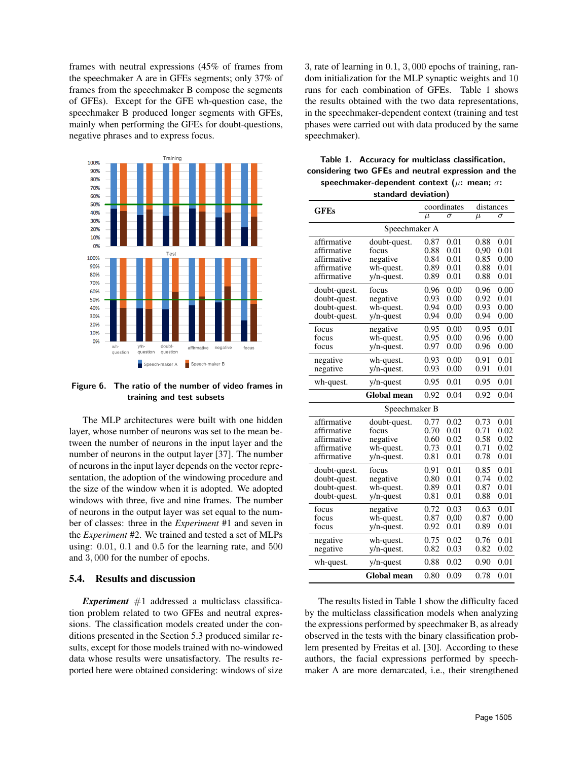frames with neutral expressions (45% of frames from the speechmaker A are in GFEs segments; only 37% of frames from the speechmaker B compose the segments of GFEs). Except for the GFE wh-question case, the speechmaker B produced longer segments with GFEs, mainly when performing the GFEs for doubt-questions, negative phrases and to express focus.



Figure 6. The ratio of the number of video frames in training and test subsets

The MLP architectures were built with one hidden layer, whose number of neurons was set to the mean between the number of neurons in the input layer and the number of neurons in the output layer [37]. The number of neurons in the input layer depends on the vector representation, the adoption of the windowing procedure and the size of the window when it is adopted. We adopted windows with three, five and nine frames. The number of neurons in the output layer was set equal to the number of classes: three in the *Experiment* #1 and seven in the *Experiment* #2. We trained and tested a set of MLPs using: 0.01, 0.1 and 0.5 for the learning rate, and 500 and 3, 000 for the number of epochs.

#### 5.4. Results and discussion

*Experiment*  $#1$  addressed a multiclass classification problem related to two GFEs and neutral expressions. The classification models created under the conditions presented in the Section 5.3 produced similar results, except for those models trained with no-windowed data whose results were unsatisfactory. The results reported here were obtained considering: windows of size 3, rate of learning in 0.1, 3, 000 epochs of training, random initialization for the MLP synaptic weights and 10 runs for each combination of GFEs. Table 1 shows the results obtained with the two data representations, in the speechmaker-dependent context (training and test phases were carried out with data produced by the same speechmaker).

| Table 1. Accuracy for multiclass classification,         |
|----------------------------------------------------------|
| considering two GFEs and neutral expression and the      |
| speechmaker-dependent context ( $\mu$ : mean; $\sigma$ : |
| standard deviation)                                      |

| <b>GFEs</b>   |                    | coordinates | distances |          |      |  |
|---------------|--------------------|-------------|-----------|----------|------|--|
|               | $\mu$              | $\sigma$    | $\mu$     | $\sigma$ |      |  |
| Speechmaker A |                    |             |           |          |      |  |
| affirmative   | doubt-quest.       | 0.87        | 0.01      | 0.88     | 0.01 |  |
| affirmative   | focus              | 0.88        | 0.01      | 0,90     | 0.01 |  |
| affirmative   | negative           | 0.84        | 0.01      | 0.85     | 0.00 |  |
| affirmative   | wh-quest.          | 0.89        | 0.01      | 0.88     | 0.01 |  |
| affirmative   | $y/n$ -quest.      | 0.89        | 0.01      | 0.88     | 0.01 |  |
| doubt-quest.  | focus              | 0.96        | 0.00      | 0.96     | 0.00 |  |
| doubt-quest.  | negative           | 0.93        | 0.00      | 0.92     | 0.01 |  |
| doubt-quest.  | wh-quest.          | 0.94        | 0.00      | 0.93     | 0.00 |  |
| doubt-quest.  | $y/n$ -quest       | 0.94        | 0.00      | 0.94     | 0.00 |  |
| focus         | negative           | 0.95        | 0.00      | 0.95     | 0.01 |  |
| focus         | wh-quest.          | 0.95        | 0.00      | 0.96     | 0.00 |  |
| focus         | $y/n$ -quest.      | 0.97        | 0.00      | 0.96     | 0.00 |  |
| negative      | wh-quest.          | 0.93        | 0.00      | 0.91     | 0.01 |  |
| negative      | $y/n$ -quest.      |             | 0.00      | 0.91     | 0.01 |  |
| wh-quest.     | 0.95               | 0.01        | 0.95      | 0.01     |      |  |
|               | Global mean        | 0.92        | 0.04      | 0.92     | 0.04 |  |
|               | Speechmaker B      |             |           |          |      |  |
| affirmative   | doubt-quest.       | 0.77        | 0.02      | 0.73     | 0.01 |  |
| affirmative   | focus              | 0.70        | 0.01      | 0.71     | 0.02 |  |
| affirmative   | negative           | 0.60        | 0.02      | 0.58     | 0.02 |  |
| affirmative   | wh-quest.          | 0.73        | 0.01      | 0.71     | 0.02 |  |
| affirmative   | $y/n$ -quest.      | 0.81        | 0.01      | 0.78     | 0.01 |  |
| doubt-quest.  | focus              | 0.91        | 0.01      | 0.85     | 0.01 |  |
| doubt-quest.  | negative           | 0.80        | 0.01      | 0.74     | 0.02 |  |
| doubt-quest.  | wh-quest.          | 0.89        | 0.01      | 0.87     | 0.01 |  |
| doubt-quest.  | $y/n$ -quest       | 0.81        | 0.01      | 0.88     | 0.01 |  |
| focus         | negative           | 0.72        | 0.03      | 0.63     | 0.01 |  |
| focus         | wh-quest.          | 0.87        | 0.00      | 0.87     | 0.00 |  |
| focus         | $y/n$ -quest.      | 0.92        | 0.01      | 0.89     | 0.01 |  |
| negative      | wh-quest.          | 0.75        | 0.02      | 0.76     | 0.01 |  |
| negative      | y/n-quest.         | 0.82        | 0.03      | 0.82     | 0.02 |  |
| wh-quest.     | $y/n$ -quest       |             |           | 0.90     | 0.01 |  |
|               | <b>Global mean</b> | 0.80        | 0.09      | 0.78     | 0.01 |  |

The results listed in Table 1 show the difficulty faced by the multiclass classification models when analyzing the expressions performed by speechmaker B, as already observed in the tests with the binary classification problem presented by Freitas et al. [30]. According to these authors, the facial expressions performed by speechmaker A are more demarcated, i.e., their strengthened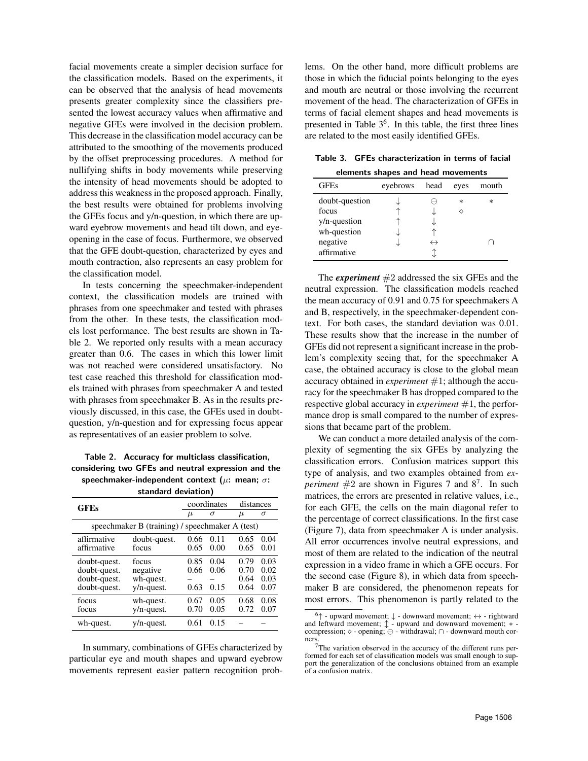facial movements create a simpler decision surface for the classification models. Based on the experiments, it can be observed that the analysis of head movements presents greater complexity since the classifiers presented the lowest accuracy values when affirmative and negative GFEs were involved in the decision problem. This decrease in the classification model accuracy can be attributed to the smoothing of the movements produced by the offset preprocessing procedures. A method for nullifying shifts in body movements while preserving the intensity of head movements should be adopted to address this weakness in the proposed approach. Finally, the best results were obtained for problems involving the GFEs focus and y/n-question, in which there are upward eyebrow movements and head tilt down, and eyeopening in the case of focus. Furthermore, we observed that the GFE doubt-question, characterized by eyes and mouth contraction, also represents an easy problem for the classification model.

In tests concerning the speechmaker-independent context, the classification models are trained with phrases from one speechmaker and tested with phrases from the other. In these tests, the classification models lost performance. The best results are shown in Table 2. We reported only results with a mean accuracy greater than 0.6. The cases in which this lower limit was not reached were considered unsatisfactory. No test case reached this threshold for classification models trained with phrases from speechmaker A and tested with phrases from speechmaker B. As in the results previously discussed, in this case, the GFEs used in doubtquestion, y/n-question and for expressing focus appear as representatives of an easier problem to solve.

Table 2. Accuracy for multiclass classification, considering two GFEs and neutral expression and the speechmaker-independent context ( $\mu$ : mean;  $\sigma$ :

| standard deviation) |
|---------------------|
|                     |

| <b>GFEs</b>            |                                                 | coordinates |       | distances |      |
|------------------------|-------------------------------------------------|-------------|-------|-----------|------|
|                        | $\mu$                                           | σ           | $\mu$ | σ         |      |
|                        | speechmaker B (training) / speechmaker A (test) |             |       |           |      |
| affirmative            | doubt-quest.                                    | 0.66        | 0.11  | 0.65      | 0.04 |
| affirmative            | focus                                           | 0.65        | 0.00  | 0.65      | 0.01 |
| doubt-quest.           | focus                                           | 0.85        | 0.04  | 0.79      | 0.03 |
| doubt-quest.           | negative                                        | 0.66        | 0.06  | 0.70      | 0.02 |
| doubt-quest.           | wh-quest.                                       |             |       | 0.64      | 0.03 |
| doubt-quest.           | $y/n$ -quest.                                   | 0.63        | 0.15  | 0.64      | 0.07 |
| focus                  | wh-quest.                                       | 0.67        | 0.05  | 0.68      | 0.08 |
| $y/n$ -quest.<br>focus |                                                 | 0.70        | 0.05  | 0.72      | 0.07 |
| wh-quest.              | $y/n$ -quest.                                   | 0.61        | 0.15  |           |      |

In summary, combinations of GFEs characterized by particular eye and mouth shapes and upward eyebrow movements represent easier pattern recognition problems. On the other hand, more difficult problems are those in which the fiducial points belonging to the eyes and mouth are neutral or those involving the recurrent movement of the head. The characterization of GFEs in terms of facial element shapes and head movements is presented in Table 3<sup>6</sup>. In this table, the first three lines are related to the most easily identified GFEs.

Table 3. GFEs characterization in terms of facial elements shapes and head movements

|                | cientente onapes ana neaa movemento |                   |           |        |  |  |  |  |
|----------------|-------------------------------------|-------------------|-----------|--------|--|--|--|--|
| <b>GFEs</b>    | eyebrows                            | head              | eyes      | mouth  |  |  |  |  |
| doubt-question |                                     |                   | $^{\ast}$ | $\ast$ |  |  |  |  |
| focus          |                                     |                   |           |        |  |  |  |  |
| y/n-question   |                                     |                   |           |        |  |  |  |  |
| wh-question    |                                     |                   |           |        |  |  |  |  |
| negative       |                                     | $\leftrightarrow$ |           |        |  |  |  |  |
| affirmative    |                                     |                   |           |        |  |  |  |  |

The *experiment*  $#2$  addressed the six GFEs and the neutral expression. The classification models reached the mean accuracy of 0.91 and 0.75 for speechmakers A and B, respectively, in the speechmaker-dependent context. For both cases, the standard deviation was 0.01. These results show that the increase in the number of GFEs did not represent a significant increase in the problem's complexity seeing that, for the speechmaker A case, the obtained accuracy is close to the global mean accuracy obtained in *experiment* #1; although the accuracy for the speechmaker B has dropped compared to the respective global accuracy in *experiment* #1, the performance drop is small compared to the number of expressions that became part of the problem.

We can conduct a more detailed analysis of the complexity of segmenting the six GFEs by analyzing the classification errors. Confusion matrices support this type of analysis, and two examples obtained from *experiment*  $#2$  are shown in Figures 7 and  $8^7$ . In such matrices, the errors are presented in relative values, i.e., for each GFE, the cells on the main diagonal refer to the percentage of correct classifications. In the first case (Figure 7), data from speechmaker A is under analysis. All error occurrences involve neutral expressions, and most of them are related to the indication of the neutral expression in a video frame in which a GFE occurs. For the second case (Figure 8), in which data from speechmaker B are considered, the phenomenon repeats for most errors. This phenomenon is partly related to the

 $6\uparrow$  - upward movement;  $\downarrow$  - downward movement;  $\leftrightarrow$  - rightward and leftward movement;  $\updownarrow$  - upward and downward movement; \* - compression;  $\diamond$  - opening;  $\ominus$  - withdrawal;  $\cap$  - downward mouth corners.

<sup>7</sup>The variation observed in the accuracy of the different runs performed for each set of classification models was small enough to support the generalization of the conclusions obtained from an example of a confusion matrix.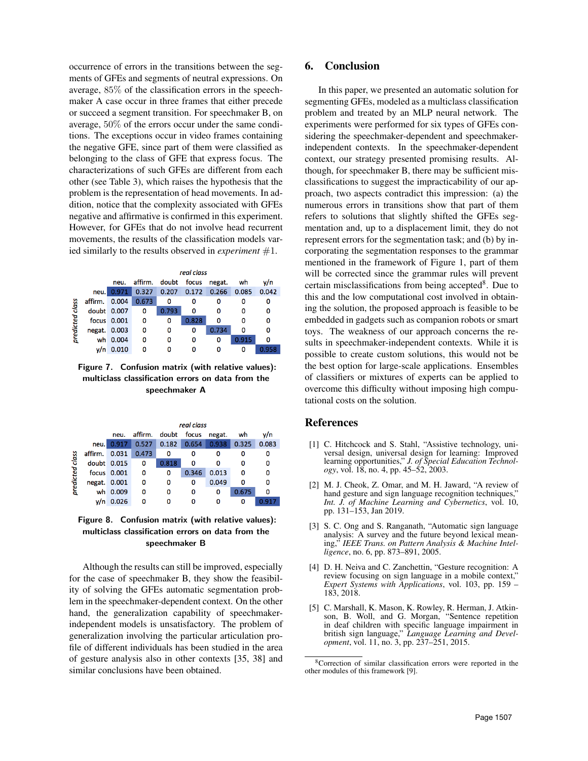occurrence of errors in the transitions between the segments of GFEs and segments of neutral expressions. On average, 85% of the classification errors in the speechmaker A case occur in three frames that either precede or succeed a segment transition. For speechmaker B, on average, 50% of the errors occur under the same conditions. The exceptions occur in video frames containing the negative GFE, since part of them were classified as belonging to the class of GFE that express focus. The characterizations of such GFEs are different from each other (see Table 3), which raises the hypothesis that the problem is the representation of head movements. In addition, notice that the complexity associated with GFEs negative and affirmative is confirmed in this experiment. However, for GFEs that do not involve head recurrent movements, the results of the classification models varied similarly to the results observed in *experiment* #1.

|                 |                                                   | real class  |       |       |       |       |       |       |
|-----------------|---------------------------------------------------|-------------|-------|-------|-------|-------|-------|-------|
|                 | doubt<br>focus<br>affirm.<br>negat.<br>wh<br>neu. |             |       |       |       |       |       | v/n   |
|                 | neu.                                              | 0.971       | 0.327 | 0.207 | 0.172 | 0.266 | 0.085 | 0.042 |
|                 | affirm.                                           | 0.004       | 0.673 | 0     | o     | 0     | 0     | 0     |
|                 |                                                   | doubt 0.007 | 0     | 0.793 | 0     | o     |       | 0     |
|                 |                                                   | focus 0.001 | 0     | 0     | 0.828 | 0     | o     | 0     |
| predicted class | negat. 0.003                                      |             | ٥     | ٥     | 0     | 0.734 | o     | 0     |
|                 |                                                   | wh 0.004    | 0     | 0     | 0     | 0     | 0.915 | 0     |
|                 | v/n                                               | 0.010       | ٥     |       | 0     | o     | o     | 0.958 |

Figure 7. Confusion matrix (with relative values): multiclass classification errors on data from the speechmaker A

|                 |              | real class  |         |       |       |        |       |       |
|-----------------|--------------|-------------|---------|-------|-------|--------|-------|-------|
|                 |              | neu.        | affirm. | doubt | focus | negat. | wh    | v/n   |
| predicted class | neu.         | 0.917       | 0.527   | 0.182 | 0.654 | 0.938  | 0.325 | 0.083 |
|                 | affirm.      | 0.031       | 0.473   | 0     | o     | Ω      |       | o     |
|                 |              | doubt 0.015 | 0       | 0.818 | O     | O      | Ω     | 0     |
|                 |              | focus 0.001 | 0       | 0     | 0.346 | 0.013  |       | ٥     |
|                 | negat. 0.001 |             | 0       | 0     | 0     | 0.049  |       | ٥     |
|                 |              | wh 0.009    | ٥       | O     | 0     | 0      | 0.675 | 0     |
|                 | y/n          | 0.026       |         |       |       |        |       |       |

Figure 8. Confusion matrix (with relative values): multiclass classification errors on data from the speechmaker B

Although the results can still be improved, especially for the case of speechmaker B, they show the feasibility of solving the GFEs automatic segmentation problem in the speechmaker-dependent context. On the other hand, the generalization capability of speechmakerindependent models is unsatisfactory. The problem of generalization involving the particular articulation profile of different individuals has been studied in the area of gesture analysis also in other contexts [35, 38] and similar conclusions have been obtained.

# 6. Conclusion

In this paper, we presented an automatic solution for segmenting GFEs, modeled as a multiclass classification problem and treated by an MLP neural network. The experiments were performed for six types of GFEs considering the speechmaker-dependent and speechmakerindependent contexts. In the speechmaker-dependent context, our strategy presented promising results. Although, for speechmaker B, there may be sufficient misclassifications to suggest the impracticability of our approach, two aspects contradict this impression: (a) the numerous errors in transitions show that part of them refers to solutions that slightly shifted the GFEs segmentation and, up to a displacement limit, they do not represent errors for the segmentation task; and (b) by incorporating the segmentation responses to the grammar mentioned in the framework of Figure 1, part of them will be corrected since the grammar rules will prevent certain misclassifications from being accepted<sup>8</sup>. Due to this and the low computational cost involved in obtaining the solution, the proposed approach is feasible to be embedded in gadgets such as companion robots or smart toys. The weakness of our approach concerns the results in speechmaker-independent contexts. While it is possible to create custom solutions, this would not be the best option for large-scale applications. Ensembles of classifiers or mixtures of experts can be applied to overcome this difficulty without imposing high computational costs on the solution.

## References

- [1] C. Hitchcock and S. Stahl, "Assistive technology, universal design, universal design for learning: Improved learning opportunities," *J. of Special Education Technology*, vol. 18, no. 4, pp. 45–52, 2003.
- [2] M. J. Cheok, Z. Omar, and M. H. Jaward, "A review of hand gesture and sign language recognition techniques," *Int. J. of Machine Learning and Cybernetics*, vol. 10, pp. 131–153, Jan 2019.
- [3] S. C. Ong and S. Ranganath, "Automatic sign language analysis: A survey and the future beyond lexical meaning," *IEEE Trans. on Pattern Analysis & Machine Intelligence*, no. 6, pp. 873–891, 2005.
- [4] D. H. Neiva and C. Zanchettin, "Gesture recognition: A review focusing on sign language in a mobile context," *Expert Systems with Applications*, vol. 103, pp. 159 – 183, 2018.
- [5] C. Marshall, K. Mason, K. Rowley, R. Herman, J. Atkinson, B. Woll, and G. Morgan, "Sentence repetition in deaf children with specific language impairment in british sign language," *Language Learning and Development*, vol. 11, no. 3, pp. 237–251, 2015.

<sup>8</sup>Correction of similar classification errors were reported in the other modules of this framework [9].